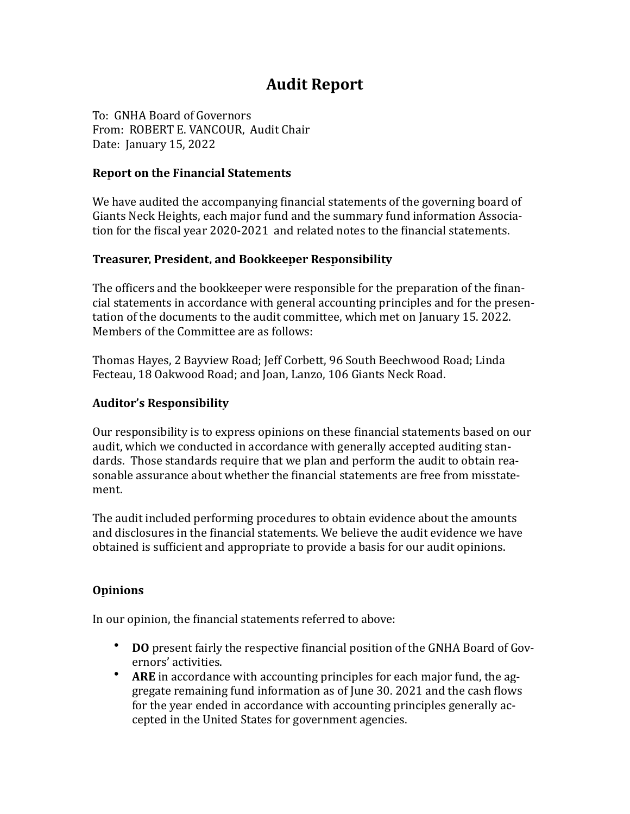# **Audit Report**

To: GNHA Board of Governors From: ROBERT E. VANCOUR, Audit Chair Date: January 15, 2022

#### **Report on the Financial Statements**

We have audited the accompanying financial statements of the governing board of Giants Neck Heights, each major fund and the summary fund information Association for the fiscal year 2020-2021 and related notes to the financial statements.

#### **Treasurer, President, and Bookkeeper Responsibility**

The officers and the bookkeeper were responsible for the preparation of the financial statements in accordance with general accounting principles and for the presentation of the documents to the audit committee, which met on January 15. 2022. Members of the Committee are as follows:

Thomas Hayes, 2 Bayview Road; Jeff Corbett, 96 South Beechwood Road; Linda Fecteau, 18 Oakwood Road; and Joan, Lanzo, 106 Giants Neck Road.

#### **Auditor's Responsibility**

Our responsibility is to express opinions on these financial statements based on our audit, which we conducted in accordance with generally accepted auditing standards. Those standards require that we plan and perform the audit to obtain reasonable assurance about whether the financial statements are free from misstatement.

The audit included performing procedures to obtain evidence about the amounts and disclosures in the financial statements. We believe the audit evidence we have obtained is sufficient and appropriate to provide a basis for our audit opinions.

### **Opinions**

In our opinion, the financial statements referred to above:

- **DO** present fairly the respective financial position of the GNHA Board of Governors' activities.
- ARE in accordance with accounting principles for each major fund, the aggregate remaining fund information as of June  $30.2021$  and the cash flows for the year ended in accordance with accounting principles generally accepted in the United States for government agencies.